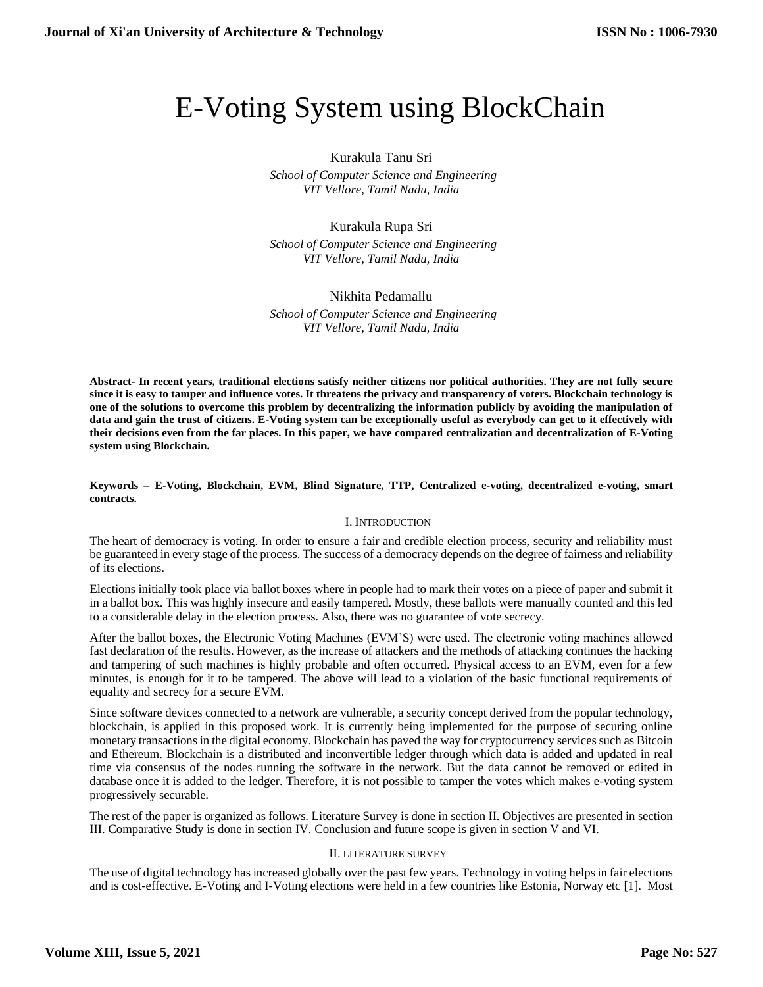# E-Voting System using BlockChain

## Kurakula Tanu Sri

 *School of Computer Science and Engineering VIT Vellore, Tamil Nadu, India*

# Kurakula Rupa Sri

 *School of Computer Science and Engineering VIT Vellore, Tamil Nadu, India*

# Nikhita Pedamallu

 *School of Computer Science and Engineering VIT Vellore, Tamil Nadu, India*

**Abstract- In recent years, traditional elections satisfy neither citizens nor political authorities. They are not fully secure since it is easy to tamper and influence votes. It threatens the privacy and transparency of voters. Blockchain technology is one of the solutions to overcome this problem by decentralizing the information publicly by avoiding the manipulation of data and gain the trust of citizens. E-Voting system can be exceptionally useful as everybody can get to it effectively with their decisions even from the far places. In this paper, we have compared centralization and decentralization of E-Voting system using Blockchain.**

**Keywords – E-Voting, Blockchain, EVM, Blind Signature, TTP, Centralized e-voting, decentralized e-voting, smart contracts.**

## I. INTRODUCTION

The heart of democracy is voting. In order to ensure a fair and credible election process, security and reliability must be guaranteed in every stage of the process. The success of a democracy depends on the degree of fairness and reliability of its elections.

Elections initially took place via ballot boxes where in people had to mark their votes on a piece of paper and submit it in a ballot box. This was highly insecure and easily tampered. Mostly, these ballots were manually counted and this led to a considerable delay in the election process. Also, there was no guarantee of vote secrecy.

After the ballot boxes, the Electronic Voting Machines (EVM'S) were used. The electronic voting machines allowed fast declaration of the results. However, as the increase of attackers and the methods of attacking continues the hacking and tampering of such machines is highly probable and often occurred. Physical access to an EVM, even for a few minutes, is enough for it to be tampered. The above will lead to a violation of the basic functional requirements of equality and secrecy for a secure EVM.

Since software devices connected to a network are vulnerable, a security concept derived from the popular technology, blockchain, is applied in this proposed work. It is currently being implemented for the purpose of securing online monetary transactions in the digital economy. Blockchain has paved the way for cryptocurrency services such as Bitcoin and Ethereum. Blockchain is a distributed and inconvertible ledger through which data is added and updated in real time via consensus of the nodes running the software in the network. But the data cannot be removed or edited in database once it is added to the ledger. Therefore, it is not possible to tamper the votes which makes e-voting system progressively securable.

The rest of the paper is organized as follows. Literature Survey is done in section II. Objectives are presented in section III. Comparative Study is done in section IV. Conclusion and future scope is given in section V and VI.

## II. LITERATURE SURVEY

The use of digital technology has increased globally over the past few years. Technology in voting helps in fair elections and is cost-effective. E-Voting and I-Voting elections were held in a few countries like Estonia, Norway etc [1]. Most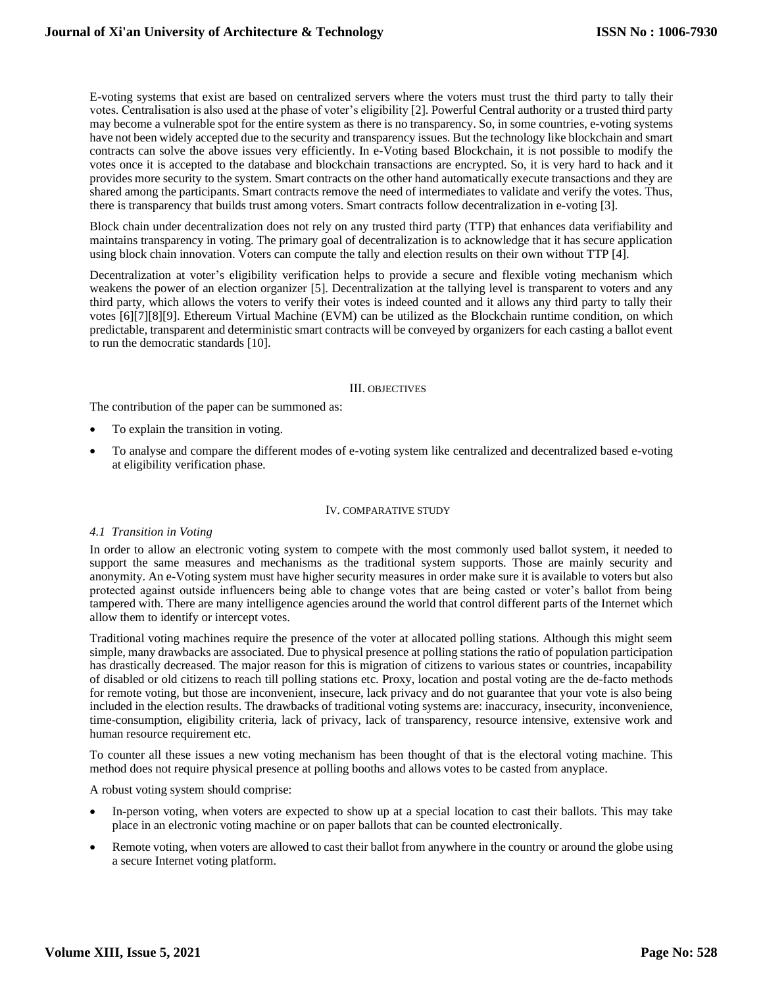E-voting systems that exist are based on centralized servers where the voters must trust the third party to tally their votes. Centralisation is also used at the phase of voter's eligibility [2]. Powerful Central authority or a trusted third party may become a vulnerable spot for the entire system as there is no transparency. So, in some countries, e-voting systems have not been widely accepted due to the security and transparency issues. But the technology like blockchain and smart contracts can solve the above issues very efficiently. In e-Voting based Blockchain, it is not possible to modify the votes once it is accepted to the database and blockchain transactions are encrypted. So, it is very hard to hack and it provides more security to the system. Smart contracts on the other hand automatically execute transactions and they are shared among the participants. Smart contracts remove the need of intermediates to validate and verify the votes. Thus, there is transparency that builds trust among voters. Smart contracts follow decentralization in e-voting [3].

Block chain under decentralization does not rely on any trusted third party (TTP) that enhances data verifiability and maintains transparency in voting. The primary goal of decentralization is to acknowledge that it has secure application using block chain innovation. Voters can compute the tally and election results on their own without TTP [4].

Decentralization at voter's eligibility verification helps to provide a secure and flexible voting mechanism which weakens the power of an election organizer [5]. Decentralization at the tallying level is transparent to voters and any third party, which allows the voters to verify their votes is indeed counted and it allows any third party to tally their votes [6][7][8][9]. Ethereum Virtual Machine (EVM) can be utilized as the Blockchain runtime condition, on which predictable, transparent and deterministic smart contracts will be conveyed by organizers for each casting a ballot event to run the democratic standards [10].

## III. OBJECTIVES

The contribution of the paper can be summoned as:

- To explain the transition in voting.
- To analyse and compare the different modes of e-voting system like centralized and decentralized based e-voting at eligibility verification phase.

## IV. COMPARATIVE STUDY

## *4.1 Transition in Voting*

In order to allow an electronic voting system to compete with the most commonly used ballot system, it needed to support the same measures and mechanisms as the traditional system supports. Those are mainly security and anonymity. An e-Voting system must have higher security measures in order make sure it is available to voters but also protected against outside influencers being able to change votes that are being casted or voter's ballot from being tampered with. There are many intelligence agencies around the world that control different parts of the Internet which allow them to identify or intercept votes.

Traditional voting machines require the presence of the voter at allocated polling stations. Although this might seem simple, many drawbacks are associated. Due to physical presence at polling stations the ratio of population participation has drastically decreased. The major reason for this is migration of citizens to various states or countries, incapability of disabled or old citizens to reach till polling stations etc. Proxy, location and postal voting are the de-facto methods for remote voting, but those are inconvenient, insecure, lack privacy and do not guarantee that your vote is also being included in the election results. The drawbacks of traditional voting systems are: inaccuracy, insecurity, inconvenience, time-consumption, eligibility criteria, lack of privacy, lack of transparency, resource intensive, extensive work and human resource requirement etc.

To counter all these issues a new voting mechanism has been thought of that is the electoral voting machine. This method does not require physical presence at polling booths and allows votes to be casted from anyplace.

A robust voting system should comprise:

- In-person voting, when voters are expected to show up at a special location to cast their ballots. This may take place in an electronic voting machine or on paper ballots that can be counted electronically.
- Remote voting, when voters are allowed to cast their ballot from anywhere in the country or around the globe using a secure Internet voting platform.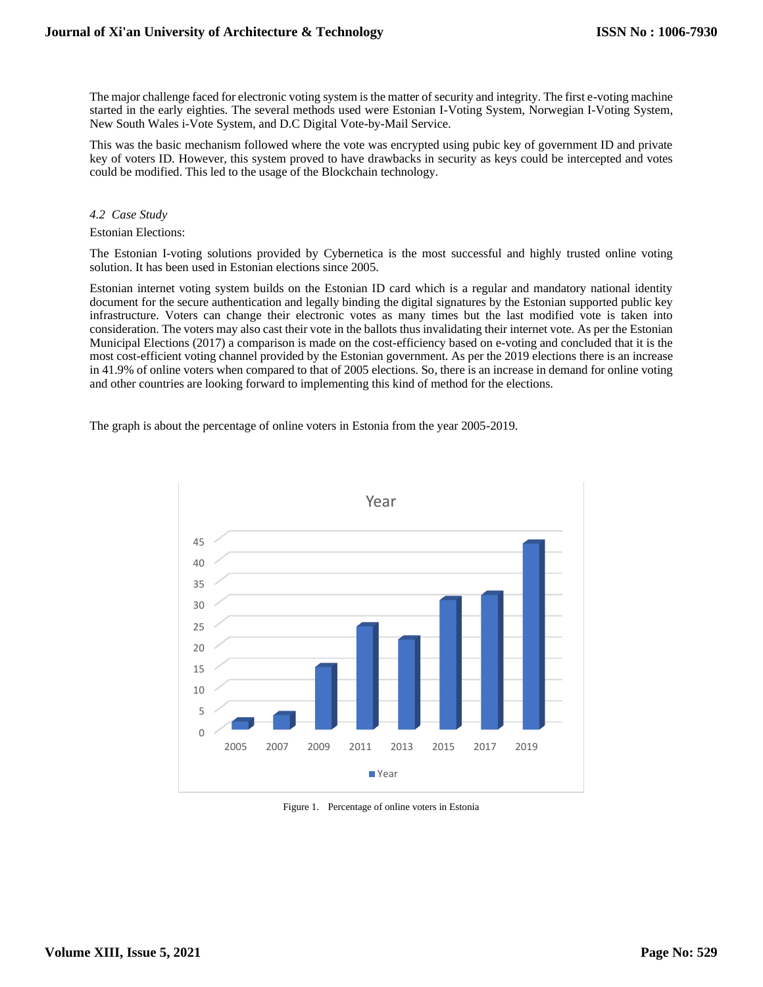The major challenge faced for electronic voting system is the matter of security and integrity. The first e-voting machine started in the early eighties. The several methods used were Estonian I-Voting System, Norwegian I-Voting System, New South Wales i-Vote System, and D.C Digital Vote-by-Mail Service.

This was the basic mechanism followed where the vote was encrypted using pubic key of government ID and private key of voters ID. However, this system proved to have drawbacks in security as keys could be intercepted and votes could be modified. This led to the usage of the Blockchain technology.

#### *4.2 Case Study*

#### Estonian Elections:

The Estonian I-voting solutions provided by Cybernetica is the most successful and highly trusted online voting solution. It has been used in Estonian elections since 2005.

Estonian internet voting system builds on the Estonian ID card which is a regular and mandatory national identity document for the secure authentication and legally binding the digital signatures by the Estonian supported public key infrastructure. Voters can change their electronic votes as many times but the last modified vote is taken into consideration. The voters may also cast their vote in the ballots thus invalidating their internet vote. As per the Estonian Municipal Elections (2017) a comparison is made on the cost-efficiency based on e-voting and concluded that it is the most cost-efficient voting channel provided by the Estonian government. As per the 2019 elections there is an increase in 41.9% of online voters when compared to that of 2005 elections. So, there is an increase in demand for online voting and other countries are looking forward to implementing this kind of method for the elections.

The graph is about the percentage of online voters in Estonia from the year 2005-2019.



Figure 1. Percentage of online voters in Estonia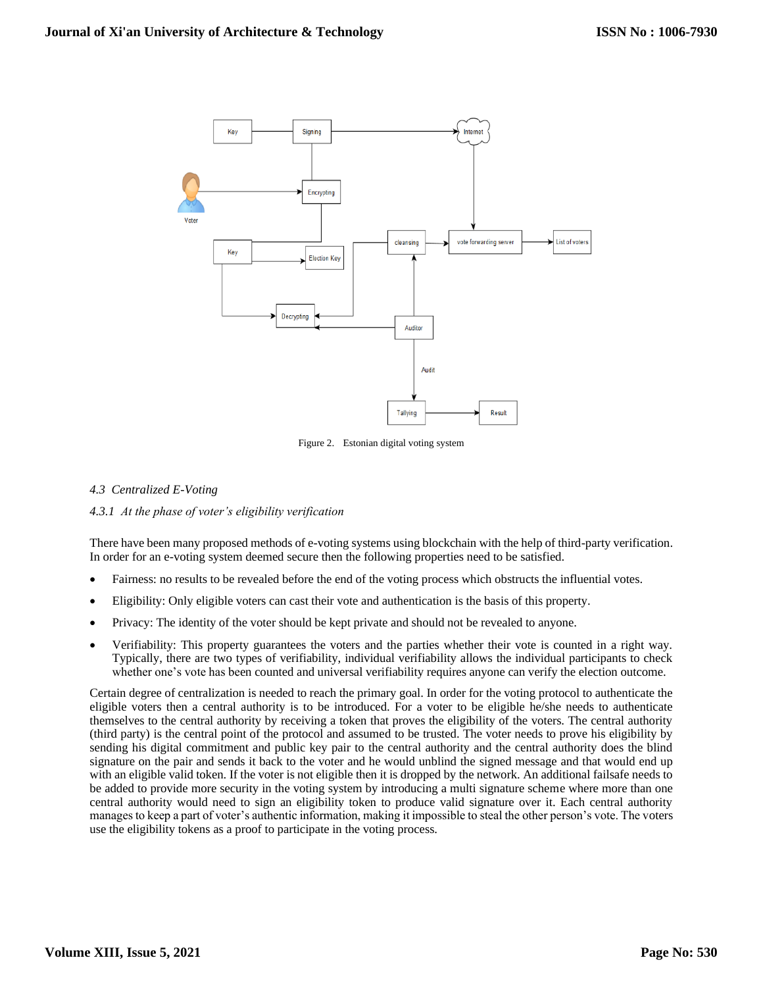

Figure 2. Estonian digital voting system

# *4.3 Centralized E-Voting*

# *4.3.1 At the phase of voter's eligibility verification*

There have been many proposed methods of e-voting systems using blockchain with the help of third-party verification. In order for an e-voting system deemed secure then the following properties need to be satisfied.

- Fairness: no results to be revealed before the end of the voting process which obstructs the influential votes.
- Eligibility: Only eligible voters can cast their vote and authentication is the basis of this property.
- Privacy: The identity of the voter should be kept private and should not be revealed to anyone.
- Verifiability: This property guarantees the voters and the parties whether their vote is counted in a right way. Typically, there are two types of verifiability, individual verifiability allows the individual participants to check whether one's vote has been counted and universal verifiability requires anyone can verify the election outcome.

Certain degree of centralization is needed to reach the primary goal. In order for the voting protocol to authenticate the eligible voters then a central authority is to be introduced. For a voter to be eligible he/she needs to authenticate themselves to the central authority by receiving a token that proves the eligibility of the voters. The central authority (third party) is the central point of the protocol and assumed to be trusted. The voter needs to prove his eligibility by sending his digital commitment and public key pair to the central authority and the central authority does the blind signature on the pair and sends it back to the voter and he would unblind the signed message and that would end up with an eligible valid token. If the voter is not eligible then it is dropped by the network. An additional failsafe needs to be added to provide more security in the voting system by introducing a multi signature scheme where more than one central authority would need to sign an eligibility token to produce valid signature over it. Each central authority manages to keep a part of voter's authentic information, making it impossible to steal the other person's vote. The voters use the eligibility tokens as a proof to participate in the voting process.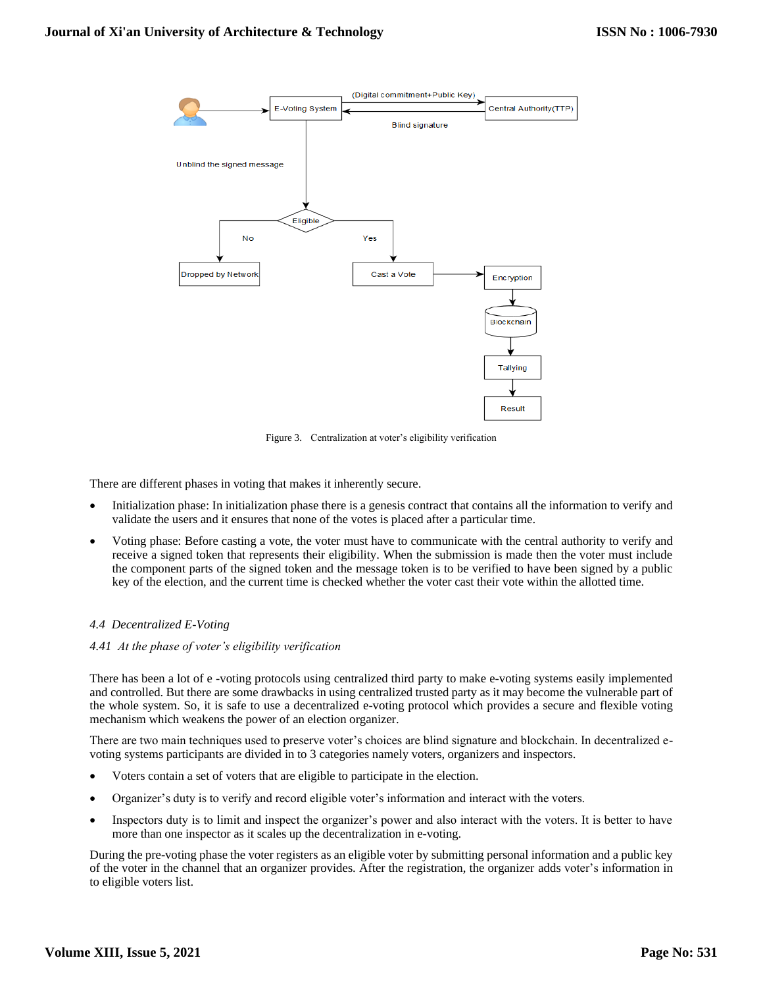

Figure 3. Centralization at voter's eligibility verification

There are different phases in voting that makes it inherently secure.

- Initialization phase: In initialization phase there is a genesis contract that contains all the information to verify and validate the users and it ensures that none of the votes is placed after a particular time.
- Voting phase: Before casting a vote, the voter must have to communicate with the central authority to verify and receive a signed token that represents their eligibility. When the submission is made then the voter must include the component parts of the signed token and the message token is to be verified to have been signed by a public key of the election, and the current time is checked whether the voter cast their vote within the allotted time.

## *4.4 Decentralized E-Voting*

## *4.41 At the phase of voter's eligibility verification*

There has been a lot of e -voting protocols using centralized third party to make e-voting systems easily implemented and controlled. But there are some drawbacks in using centralized trusted party as it may become the vulnerable part of the whole system. So, it is safe to use a decentralized e-voting protocol which provides a secure and flexible voting mechanism which weakens the power of an election organizer.

There are two main techniques used to preserve voter's choices are blind signature and blockchain. In decentralized evoting systems participants are divided in to 3 categories namely voters, organizers and inspectors.

- Voters contain a set of voters that are eligible to participate in the election.
- Organizer's duty is to verify and record eligible voter's information and interact with the voters.
- Inspectors duty is to limit and inspect the organizer's power and also interact with the voters. It is better to have more than one inspector as it scales up the decentralization in e-voting.

During the pre-voting phase the voter registers as an eligible voter by submitting personal information and a public key of the voter in the channel that an organizer provides. After the registration, the organizer adds voter's information in to eligible voters list.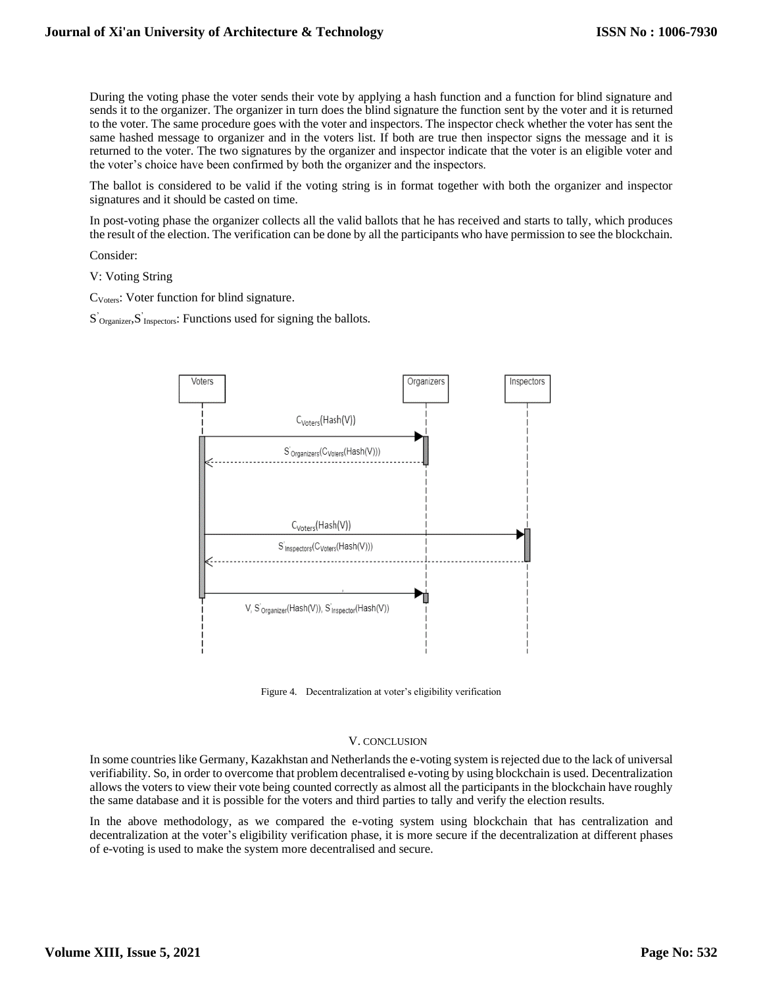During the voting phase the voter sends their vote by applying a hash function and a function for blind signature and sends it to the organizer. The organizer in turn does the blind signature the function sent by the voter and it is returned to the voter. The same procedure goes with the voter and inspectors. The inspector check whether the voter has sent the same hashed message to organizer and in the voters list. If both are true then inspector signs the message and it is returned to the voter. The two signatures by the organizer and inspector indicate that the voter is an eligible voter and the voter's choice have been confirmed by both the organizer and the inspectors.

The ballot is considered to be valid if the voting string is in format together with both the organizer and inspector signatures and it should be casted on time.

In post-voting phase the organizer collects all the valid ballots that he has received and starts to tally, which produces the result of the election. The verification can be done by all the participants who have permission to see the blockchain.

Consider:

V: Voting String

CVoters: Voter function for blind signature.

S'<sub>Organizer</sub>, S'<sub>Inspectors</sub>: Functions used for signing the ballots.



Figure 4. Decentralization at voter's eligibility verification

#### V. CONCLUSION

In some countries like Germany, Kazakhstan and Netherlands the e-voting system is rejected due to the lack of universal verifiability. So, in order to overcome that problem decentralised e-voting by using blockchain is used. Decentralization allows the voters to view their vote being counted correctly as almost all the participants in the blockchain have roughly the same database and it is possible for the voters and third parties to tally and verify the election results.

In the above methodology, as we compared the e-voting system using blockchain that has centralization and decentralization at the voter's eligibility verification phase, it is more secure if the decentralization at different phases of e-voting is used to make the system more decentralised and secure.